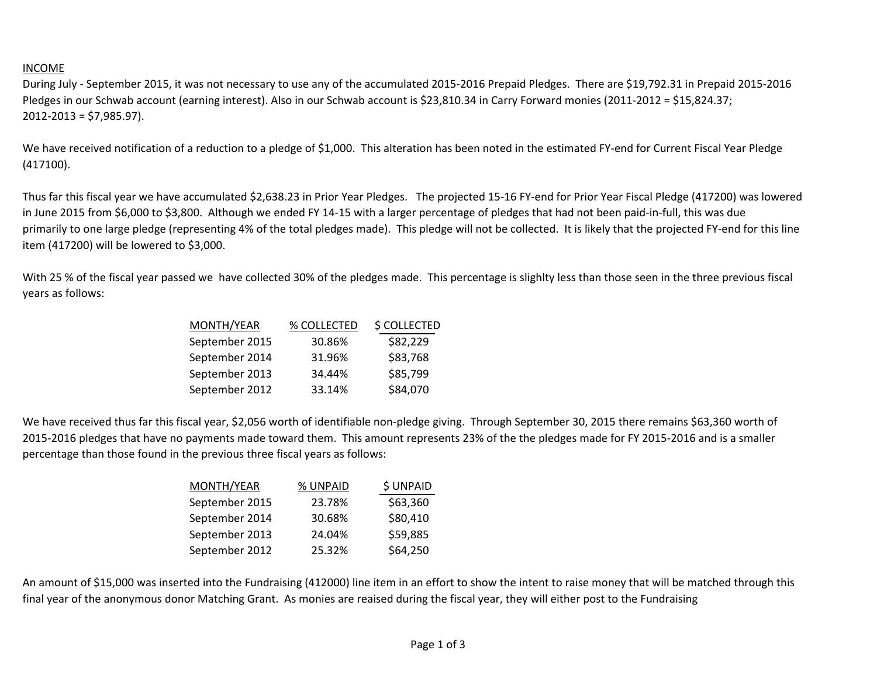## INCOME

During July - September 2015, it was not necessary to use any of the accumulated 2015-2016 Prepaid Pledges. There are \$19,792.31 in Prepaid 2015-2016 Pledges in our Schwab account (earning interest). Also in our Schwab account is \$23,810.34 in Carry Forward monies (2011-2012 = \$15,824.37; 2012-2013 = \$7,985.97).

We have received notification of a reduction to a pledge of \$1,000. This alteration has been noted in the estimated FY-end for Current Fiscal Year Pledge (417100).

Thus far this fiscal year we have accumulated \$2,638.23 in Prior Year Pledges. The projected 15-16 FY-end for Prior Year Fiscal Pledge (417200) was lowered in June 2015 from \$6,000 to \$3,800. Although we ended FY 14-15 with a larger percentage of pledges that had not been paid-in-full, this was due primarily to one large pledge (representing 4% of the total pledges made). This pledge will not be collected. It is likely that the projected FY-end for this line item (417200) will be lowered to \$3,000.

With 25 % of the fiscal year passed we have collected 30% of the pledges made. This percentage is slighlty less than those seen in the three previous fiscal years as follows:

| MONTH/YEAR     | % COLLECTED | \$ COLLECTED |
|----------------|-------------|--------------|
| September 2015 | 30.86%      | \$82,229     |
| September 2014 | 31.96%      | \$83,768     |
| September 2013 | 34.44%      | \$85,799     |
| September 2012 | 33.14%      | \$84,070     |

We have received thus far this fiscal year, \$2,056 worth of identifiable non-pledge giving. Through September 30, 2015 there remains \$63,360 worth of 2015-2016 pledges that have no payments made toward them. This amount represents 23% of the the pledges made for FY 2015-2016 and is a smaller percentage than those found in the previous three fiscal years as follows:

| % UNPAID | <b>\$UNPAID</b> |
|----------|-----------------|
| 23.78%   | \$63,360        |
| 30.68%   | \$80,410        |
| 24.04%   | \$59,885        |
| 25.32%   | \$64,250        |
|          |                 |

An amount of \$15,000 was inserted into the Fundraising (412000) line item in an effort to show the intent to raise money that will be matched through this final year of the anonymous donor Matching Grant. As monies are reaised during the fiscal year, they will either post to the Fundraising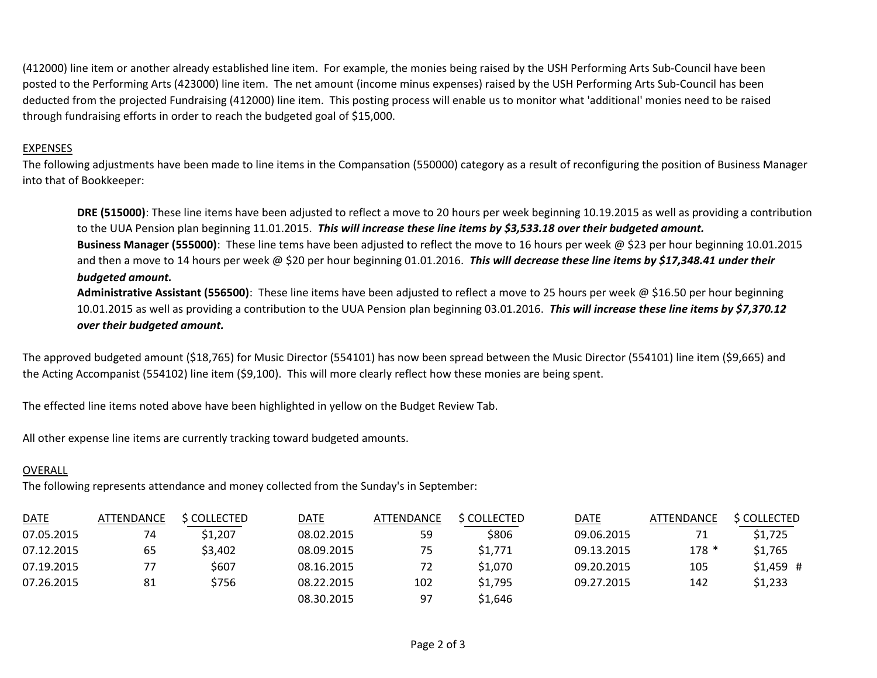(412000) line item or another already established line item. For example, the monies being raised by the USH Performing Arts Sub-Council have been posted to the Performing Arts (423000) line item. The net amount (income minus expenses) raised by the USH Performing Arts Sub-Council has been deducted from the projected Fundraising (412000) line item. This posting process will enable us to monitor what 'additional' monies need to be raised through fundraising efforts in order to reach the budgeted goal of \$15,000.

## EXPENSES

The following adjustments have been made to line items in the Compansation (550000) category as a result of reconfiguring the position of Business Manager into that of Bookkeeper:

**DRE (515000)**: These line items have been adjusted to reflect a move to 20 hours per week beginning 10.19.2015 as well as providing a contribution to the UUA Pension plan beginning 11.01.2015. *This will increase these line items by \$3,533.18 over their budgeted amount.* **Business Manager (555000)**: These line tems have been adjusted to reflect the move to 16 hours per week @ \$23 per hour beginning 10.01.2015 and then a move to 14 hours per week @ \$20 per hour beginning 01.01.2016. *This will decrease these line items by \$17,348.41 under their budgeted amount.* 

**Administrative Assistant (556500)**: These line items have been adjusted to reflect a move to 25 hours per week @ \$16.50 per hour beginning 10.01.2015 as well as providing a contribution to the UUA Pension plan beginning 03.01.2016. *This will increase these line items by \$7,370.12 over their budgeted amount.*

The approved budgeted amount (\$18,765) for Music Director (554101) has now been spread between the Music Director (554101) line item (\$9,665) and the Acting Accompanist (554102) line item (\$9,100). This will more clearly reflect how these monies are being spent.

The effected line items noted above have been highlighted in yellow on the Budget Review Tab.

All other expense line items are currently tracking toward budgeted amounts.

## OVERALL

The following represents attendance and money collected from the Sunday's in September:

| <b>DATE</b> | <b>ATTENDANCE</b> | <b>\$ COLLECTED</b> | <u>DATE</u> | ATTENDANCE | <b>S COLLECTED</b> | DATE       | <b>ATTENDANCE</b> | \$ COLLECTED |
|-------------|-------------------|---------------------|-------------|------------|--------------------|------------|-------------------|--------------|
| 07.05.2015  | 74                | \$1,207             | 08.02.2015  | 59         | \$806              | 09.06.2015 |                   | \$1,725      |
| 07.12.2015  | 65                | \$3,402             | 08.09.2015  | 75         | \$1,771            | 09.13.2015 | $178*$            | \$1,765      |
| 07.19.2015  | 77                | \$607               | 08.16.2015  | 72         | \$1,070            | 09.20.2015 | 105               | $$1,459$ #   |
| 07.26.2015  | 81                | \$756               | 08.22.2015  | 102        | \$1,795            | 09.27.2015 | 142               | \$1,233      |
|             |                   |                     | 08.30.2015  | 97         | \$1,646            |            |                   |              |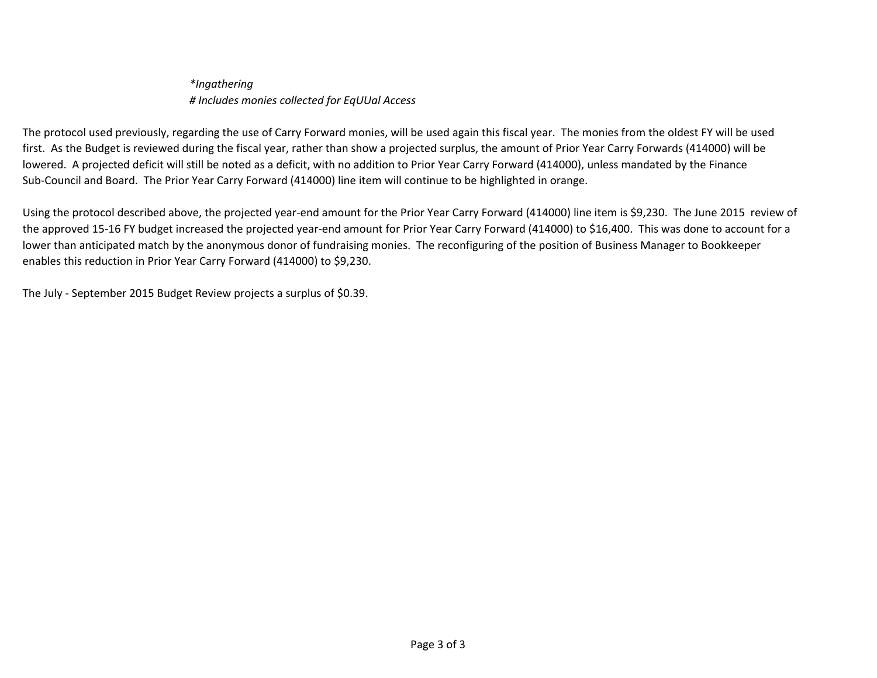*\*Ingathering # Includes monies collected for EqUUal Access*

The protocol used previously, regarding the use of Carry Forward monies, will be used again this fiscal year. The monies from the oldest FY will be used first. As the Budget is reviewed during the fiscal year, rather than show a projected surplus, the amount of Prior Year Carry Forwards (414000) will be lowered. A projected deficit will still be noted as a deficit, with no addition to Prior Year Carry Forward (414000), unless mandated by the Finance Sub-Council and Board. The Prior Year Carry Forward (414000) line item will continue to be highlighted in orange.

Using the protocol described above, the projected year-end amount for the Prior Year Carry Forward (414000) line item is \$9,230. The June 2015 review of the approved 15-16 FY budget increased the projected year-end amount for Prior Year Carry Forward (414000) to \$16,400. This was done to account for a lower than anticipated match by the anonymous donor of fundraising monies. The reconfiguring of the position of Business Manager to Bookkeeper enables this reduction in Prior Year Carry Forward (414000) to \$9,230.

The July - September 2015 Budget Review projects a surplus of \$0.39.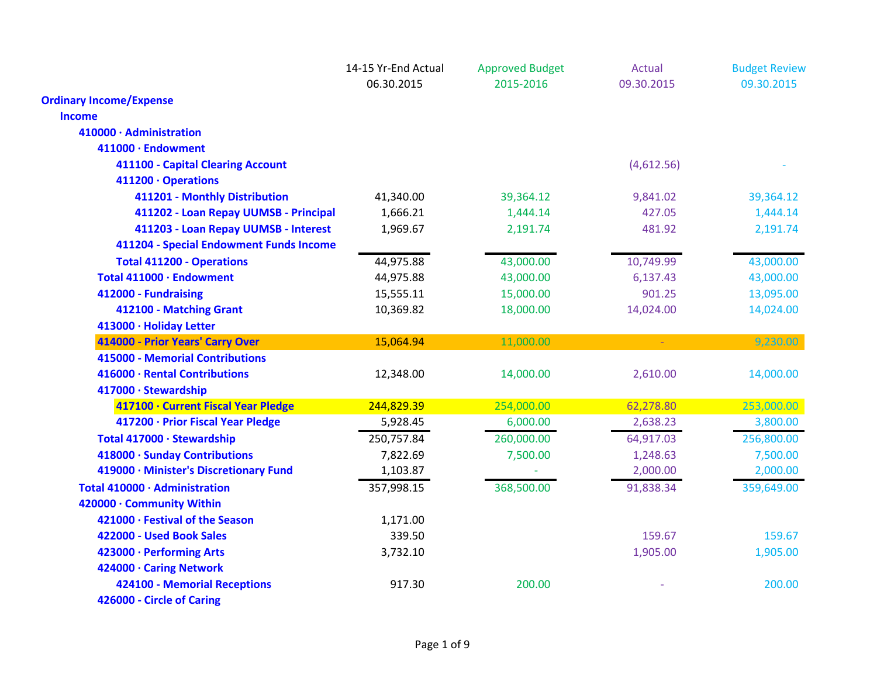|                                         | 14-15 Yr-End Actual | <b>Approved Budget</b> | <b>Actual</b> | <b>Budget Review</b> |
|-----------------------------------------|---------------------|------------------------|---------------|----------------------|
|                                         | 06.30.2015          | 2015-2016              | 09.30.2015    | 09.30.2015           |
| <b>Ordinary Income/Expense</b>          |                     |                        |               |                      |
| <b>Income</b>                           |                     |                        |               |                      |
| 410000 · Administration                 |                     |                        |               |                      |
| 411000 · Endowment                      |                     |                        |               |                      |
| 411100 - Capital Clearing Account       |                     |                        | (4,612.56)    |                      |
| 411200 · Operations                     |                     |                        |               |                      |
| 411201 - Monthly Distribution           | 41,340.00           | 39,364.12              | 9,841.02      | 39,364.12            |
| 411202 - Loan Repay UUMSB - Principal   | 1,666.21            | 1,444.14               | 427.05        | 1,444.14             |
| 411203 - Loan Repay UUMSB - Interest    | 1,969.67            | 2,191.74               | 481.92        | 2,191.74             |
| 411204 - Special Endowment Funds Income |                     |                        |               |                      |
| <b>Total 411200 - Operations</b>        | 44,975.88           | 43,000.00              | 10,749.99     | 43,000.00            |
| Total 411000 · Endowment                | 44,975.88           | 43,000.00              | 6,137.43      | 43,000.00            |
| 412000 - Fundraising                    | 15,555.11           | 15,000.00              | 901.25        | 13,095.00            |
| 412100 - Matching Grant                 | 10,369.82           | 18,000.00              | 14,024.00     | 14,024.00            |
| 413000 · Holiday Letter                 |                     |                        |               |                      |
| 414000 - Prior Years' Carry Over        | 15,064.94           | 11,000.00              | $\omega$ .    | 9,230.00             |
| 415000 - Memorial Contributions         |                     |                        |               |                      |
| 416000 · Rental Contributions           | 12,348.00           | 14,000.00              | 2,610.00      | 14,000.00            |
| 417000 · Stewardship                    |                     |                        |               |                      |
| 417100 · Current Fiscal Year Pledge     | 244,829.39          | 254,000.00             | 62,278.80     | 253,000.00           |
| 417200 · Prior Fiscal Year Pledge       | 5,928.45            | 6,000.00               | 2,638.23      | 3,800.00             |
| Total 417000 · Stewardship              | 250,757.84          | 260,000.00             | 64,917.03     | 256,800.00           |
| 418000 · Sunday Contributions           | 7,822.69            | 7,500.00               | 1,248.63      | 7,500.00             |
| 419000 · Minister's Discretionary Fund  | 1,103.87            |                        | 2,000.00      | 2,000.00             |
| Total 410000 · Administration           | 357,998.15          | 368,500.00             | 91,838.34     | 359,649.00           |
| 420000 · Community Within               |                     |                        |               |                      |
| 421000 · Festival of the Season         | 1,171.00            |                        |               |                      |
| 422000 - Used Book Sales                | 339.50              |                        | 159.67        | 159.67               |
| 423000 · Performing Arts                | 3,732.10            |                        | 1,905.00      | 1,905.00             |
| 424000 · Caring Network                 |                     |                        |               |                      |
| 424100 - Memorial Receptions            | 917.30              | 200.00                 |               | 200.00               |
| 426000 - Circle of Caring               |                     |                        |               |                      |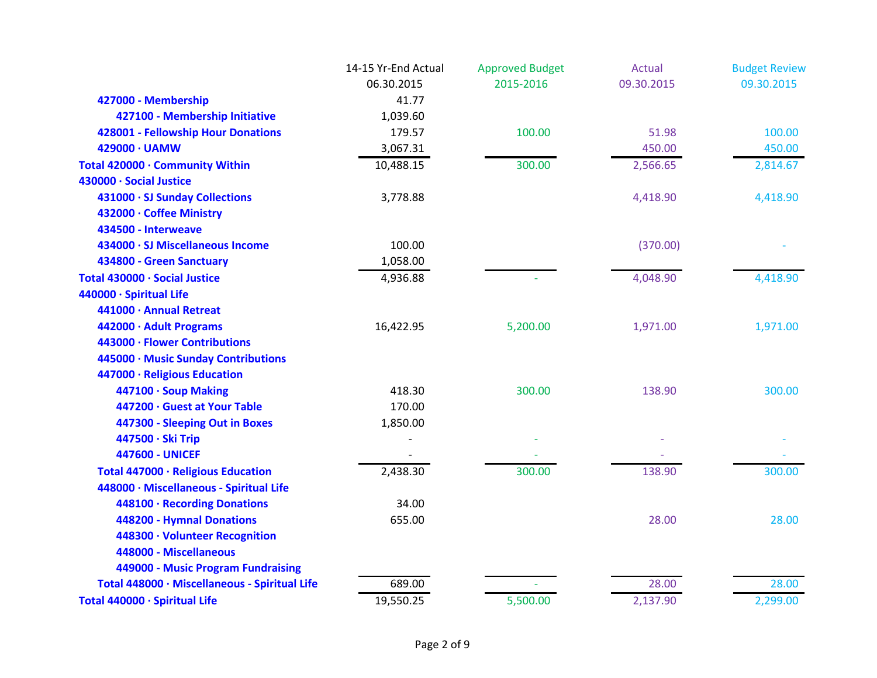|                                               | 14-15 Yr-End Actual | <b>Approved Budget</b> | Actual     | <b>Budget Review</b> |
|-----------------------------------------------|---------------------|------------------------|------------|----------------------|
|                                               | 06.30.2015          | 2015-2016              | 09.30.2015 | 09.30.2015           |
| 427000 - Membership                           | 41.77               |                        |            |                      |
| 427100 - Membership Initiative                | 1,039.60            |                        |            |                      |
| 428001 - Fellowship Hour Donations            | 179.57              | 100.00                 | 51.98      | 100.00               |
| 429000 · UAMW                                 | 3,067.31            |                        | 450.00     | 450.00               |
| Total 420000 · Community Within               | 10,488.15           | 300.00                 | 2,566.65   | 2,814.67             |
| 430000 · Social Justice                       |                     |                        |            |                      |
| 431000 · SJ Sunday Collections                | 3,778.88            |                        | 4,418.90   | 4,418.90             |
| 432000 · Coffee Ministry                      |                     |                        |            |                      |
| 434500 - Interweave                           |                     |                        |            |                      |
| 434000 · SJ Miscellaneous Income              | 100.00              |                        | (370.00)   |                      |
| 434800 - Green Sanctuary                      | 1,058.00            |                        |            |                      |
| Total 430000 · Social Justice                 | 4,936.88            |                        | 4,048.90   | 4,418.90             |
| 440000 · Spiritual Life                       |                     |                        |            |                      |
| 441000 · Annual Retreat                       |                     |                        |            |                      |
| 442000 · Adult Programs                       | 16,422.95           | 5,200.00               | 1,971.00   | 1,971.00             |
| 443000 · Flower Contributions                 |                     |                        |            |                      |
| 445000 · Music Sunday Contributions           |                     |                        |            |                      |
| 447000 · Religious Education                  |                     |                        |            |                      |
| 447100 · Soup Making                          | 418.30              | 300.00                 | 138.90     | 300.00               |
| 447200 · Guest at Your Table                  | 170.00              |                        |            |                      |
| 447300 - Sleeping Out in Boxes                | 1,850.00            |                        |            |                      |
| 447500 · Ski Trip                             |                     |                        |            |                      |
| <b>447600 - UNICEF</b>                        |                     |                        |            |                      |
| Total 447000 · Religious Education            | 2,438.30            | 300.00                 | 138.90     | 300.00               |
| 448000 · Miscellaneous - Spiritual Life       |                     |                        |            |                      |
| 448100 · Recording Donations                  | 34.00               |                        |            |                      |
| 448200 - Hymnal Donations                     | 655.00              |                        | 28.00      | 28.00                |
| 448300 · Volunteer Recognition                |                     |                        |            |                      |
| 448000 - Miscellaneous                        |                     |                        |            |                      |
| 449000 - Music Program Fundraising            |                     |                        |            |                      |
| Total 448000 · Miscellaneous - Spiritual Life | 689.00              |                        | 28.00      | 28.00                |
| Total 440000 · Spiritual Life                 | 19,550.25           | 5,500.00               | 2,137.90   | 2,299.00             |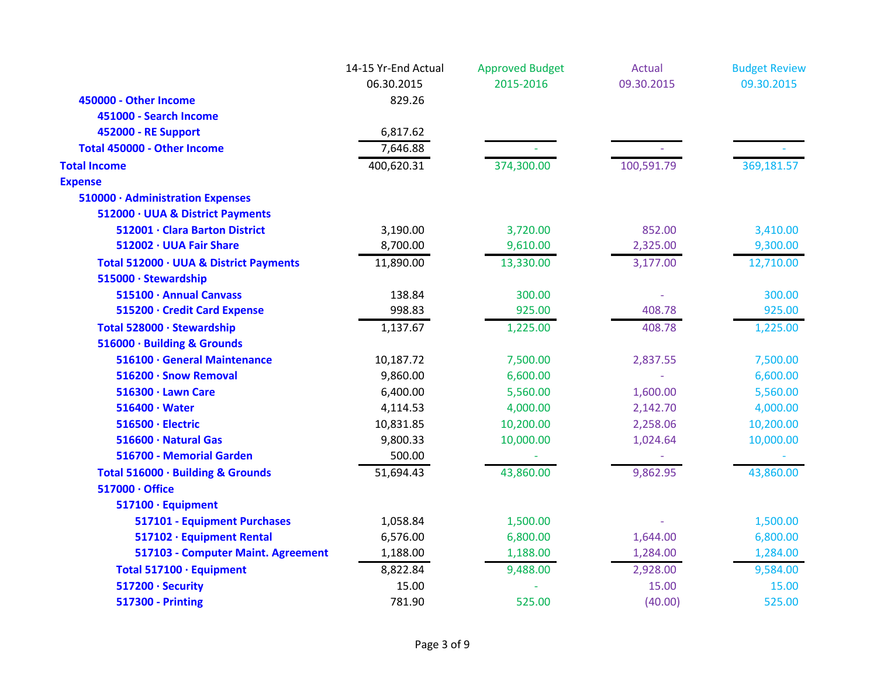|                                        | 14-15 Yr-End Actual<br>06.30.2015 | <b>Approved Budget</b><br>2015-2016 | Actual<br>09.30.2015 | <b>Budget Review</b><br>09.30.2015 |
|----------------------------------------|-----------------------------------|-------------------------------------|----------------------|------------------------------------|
| 450000 - Other Income                  | 829.26                            |                                     |                      |                                    |
| 451000 - Search Income                 |                                   |                                     |                      |                                    |
| 452000 - RE Support                    | 6,817.62                          |                                     |                      |                                    |
| Total 450000 - Other Income            | 7,646.88                          |                                     |                      |                                    |
| <b>Total Income</b>                    | 400,620.31                        | 374,300.00                          | 100,591.79           | 369,181.57                         |
| <b>Expense</b>                         |                                   |                                     |                      |                                    |
| 510000 · Administration Expenses       |                                   |                                     |                      |                                    |
| 512000 · UUA & District Payments       |                                   |                                     |                      |                                    |
| 512001 · Clara Barton District         | 3,190.00                          | 3,720.00                            | 852.00               | 3,410.00                           |
| 512002 · UUA Fair Share                | 8,700.00                          | 9,610.00                            | 2,325.00             | 9,300.00                           |
| Total 512000 · UUA & District Payments | 11,890.00                         | 13,330.00                           | 3,177.00             | 12,710.00                          |
| 515000 · Stewardship                   |                                   |                                     |                      |                                    |
| 515100 · Annual Canvass                | 138.84                            | 300.00                              |                      | 300.00                             |
| 515200 · Credit Card Expense           | 998.83                            | 925.00                              | 408.78               | 925.00                             |
| Total 528000 · Stewardship             | 1,137.67                          | 1,225.00                            | 408.78               | 1,225.00                           |
| 516000 · Building & Grounds            |                                   |                                     |                      |                                    |
| 516100 · General Maintenance           | 10,187.72                         | 7,500.00                            | 2,837.55             | 7,500.00                           |
| 516200 · Snow Removal                  | 9,860.00                          | 6,600.00                            |                      | 6,600.00                           |
| 516300 · Lawn Care                     | 6,400.00                          | 5,560.00                            | 1,600.00             | 5,560.00                           |
| $516400 \cdot Water$                   | 4,114.53                          | 4,000.00                            | 2,142.70             | 4,000.00                           |
| 516500 · Electric                      | 10,831.85                         | 10,200.00                           | 2,258.06             | 10,200.00                          |
| 516600 · Natural Gas                   | 9,800.33                          | 10,000.00                           | 1,024.64             | 10,000.00                          |
| 516700 - Memorial Garden               | 500.00                            |                                     |                      |                                    |
| Total 516000 · Building & Grounds      | 51,694.43                         | 43,860.00                           | 9,862.95             | 43,860.00                          |
| 517000 · Office                        |                                   |                                     |                      |                                    |
| 517100 · Equipment                     |                                   |                                     |                      |                                    |
| 517101 - Equipment Purchases           | 1,058.84                          | 1,500.00                            |                      | 1,500.00                           |
| 517102 · Equipment Rental              | 6,576.00                          | 6,800.00                            | 1,644.00             | 6,800.00                           |
| 517103 - Computer Maint. Agreement     | 1,188.00                          | 1,188.00                            | 1,284.00             | 1,284.00                           |
| Total 517100 · Equipment               | 8,822.84                          | 9,488.00                            | 2,928.00             | 9,584.00                           |
| 517200 · Security                      | 15.00                             |                                     | 15.00                | 15.00                              |
| <b>517300 - Printing</b>               | 781.90                            | 525.00                              | (40.00)              | 525.00                             |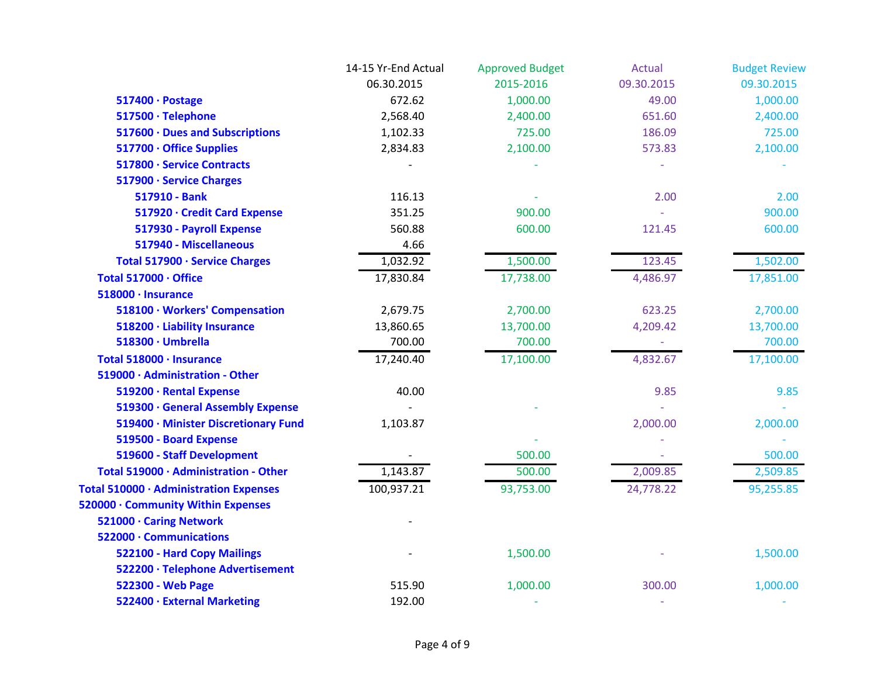|                                        | 14-15 Yr-End Actual | <b>Approved Budget</b> | <b>Actual</b> | <b>Budget Review</b> |
|----------------------------------------|---------------------|------------------------|---------------|----------------------|
|                                        | 06.30.2015          | 2015-2016              | 09.30.2015    | 09.30.2015           |
| 517400 · Postage                       | 672.62              | 1,000.00               | 49.00         | 1,000.00             |
| 517500 · Telephone                     | 2,568.40            | 2,400.00               | 651.60        | 2,400.00             |
| 517600 · Dues and Subscriptions        | 1,102.33            | 725.00                 | 186.09        | 725.00               |
| 517700 · Office Supplies               | 2,834.83            | 2,100.00               | 573.83        | 2,100.00             |
| 517800 · Service Contracts             |                     |                        |               |                      |
| 517900 · Service Charges               |                     |                        |               |                      |
| 517910 - Bank                          | 116.13              |                        | 2.00          | 2.00                 |
| 517920 · Credit Card Expense           | 351.25              | 900.00                 |               | 900.00               |
| 517930 - Payroll Expense               | 560.88              | 600.00                 | 121.45        | 600.00               |
| 517940 - Miscellaneous                 | 4.66                |                        |               |                      |
| Total 517900 · Service Charges         | 1,032.92            | 1,500.00               | 123.45        | 1,502.00             |
| Total 517000 · Office                  | 17,830.84           | 17,738.00              | 4,486.97      | 17,851.00            |
| 518000 · Insurance                     |                     |                        |               |                      |
| 518100 · Workers' Compensation         | 2,679.75            | 2,700.00               | 623.25        | 2,700.00             |
| 518200 · Liability Insurance           | 13,860.65           | 13,700.00              | 4,209.42      | 13,700.00            |
| 518300 · Umbrella                      | 700.00              | 700.00                 | $\omega$      | 700.00               |
| Total 518000 · Insurance               | 17,240.40           | 17,100.00              | 4,832.67      | 17,100.00            |
| 519000 · Administration - Other        |                     |                        |               |                      |
| 519200 · Rental Expense                | 40.00               |                        | 9.85          | 9.85                 |
| 519300 · General Assembly Expense      |                     |                        |               |                      |
| 519400 · Minister Discretionary Fund   | 1,103.87            |                        | 2,000.00      | 2,000.00             |
| 519500 - Board Expense                 |                     |                        |               |                      |
| 519600 - Staff Development             |                     | 500.00                 |               | 500.00               |
| Total 519000 · Administration - Other  | 1,143.87            | 500.00                 | 2,009.85      | 2,509.85             |
| Total 510000 · Administration Expenses | 100,937.21          | 93,753.00              | 24,778.22     | 95,255.85            |
| 520000 · Community Within Expenses     |                     |                        |               |                      |
| 521000 · Caring Network                |                     |                        |               |                      |
| 522000 · Communications                |                     |                        |               |                      |
| 522100 - Hard Copy Mailings            |                     | 1,500.00               |               | 1,500.00             |
| 522200 · Telephone Advertisement       |                     |                        |               |                      |
| 522300 - Web Page                      | 515.90              | 1,000.00               | 300.00        | 1,000.00             |
| 522400 · External Marketing            | 192.00              |                        |               |                      |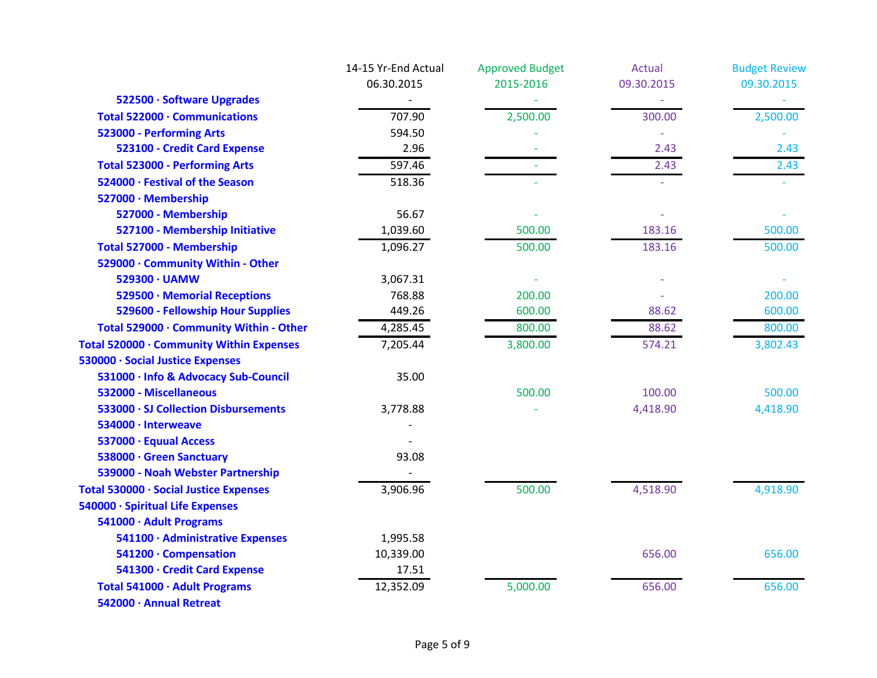|                                          | 14-15 Yr-End Actual | <b>Approved Budget</b> | <b>Actual</b> | <b>Budget Review</b> |
|------------------------------------------|---------------------|------------------------|---------------|----------------------|
|                                          | 06.30.2015          | 2015-2016              | 09.30.2015    | 09.30.2015           |
| 522500 · Software Upgrades               |                     |                        |               |                      |
| Total 522000 · Communications            | 707.90              | 2,500.00               | 300.00        | 2,500.00             |
| 523000 - Performing Arts                 | 594.50              |                        |               |                      |
| 523100 - Credit Card Expense             | 2.96                |                        | 2.43          | 2.43                 |
| <b>Total 523000 - Performing Arts</b>    | 597.46              |                        | 2.43          | 2.43                 |
| 524000 · Festival of the Season          | 518.36              |                        |               |                      |
| 527000 · Membership                      |                     |                        |               |                      |
| 527000 - Membership                      | 56.67               |                        |               |                      |
| 527100 - Membership Initiative           | 1,039.60            | 500.00                 | 183.16        | 500.00               |
| Total 527000 - Membership                | 1,096.27            | 500.00                 | 183.16        | 500.00               |
| 529000 · Community Within - Other        |                     |                        |               |                      |
| 529300 · UAMW                            | 3,067.31            |                        |               |                      |
| 529500 · Memorial Receptions             | 768.88              | 200.00                 |               | 200.00               |
| 529600 - Fellowship Hour Supplies        | 449.26              | 600.00                 | 88.62         | 600.00               |
| Total 529000 · Community Within - Other  | 4,285.45            | 800.00                 | 88.62         | 800.00               |
| Total 520000 · Community Within Expenses | 7,205.44            | 3,800.00               | 574.21        | 3,802.43             |
| 530000 · Social Justice Expenses         |                     |                        |               |                      |
| 531000 · Info & Advocacy Sub-Council     | 35.00               |                        |               |                      |
| 532000 - Miscellaneous                   |                     | 500.00                 | 100.00        | 500.00               |
| 533000 · SJ Collection Disbursements     | 3,778.88            |                        | 4,418.90      | 4,418.90             |
| 534000 · Interweave                      |                     |                        |               |                      |
| 537000 · Equual Access                   |                     |                        |               |                      |
| 538000 · Green Sanctuary                 | 93.08               |                        |               |                      |
| 539000 - Noah Webster Partnership        |                     |                        |               |                      |
| Total 530000 · Social Justice Expenses   | 3,906.96            | 500.00                 | 4,518.90      | 4,918.90             |
| 540000 · Spiritual Life Expenses         |                     |                        |               |                      |
| 541000 · Adult Programs                  |                     |                        |               |                      |
| 541100 · Administrative Expenses         | 1,995.58            |                        |               |                      |
| 541200 · Compensation                    | 10,339.00           |                        | 656.00        | 656.00               |
| 541300 · Credit Card Expense             | 17.51               |                        |               |                      |
| Total 541000 · Adult Programs            | 12,352.09           | 5,000.00               | 656.00        | 656.00               |
| 542000 · Annual Retreat                  |                     |                        |               |                      |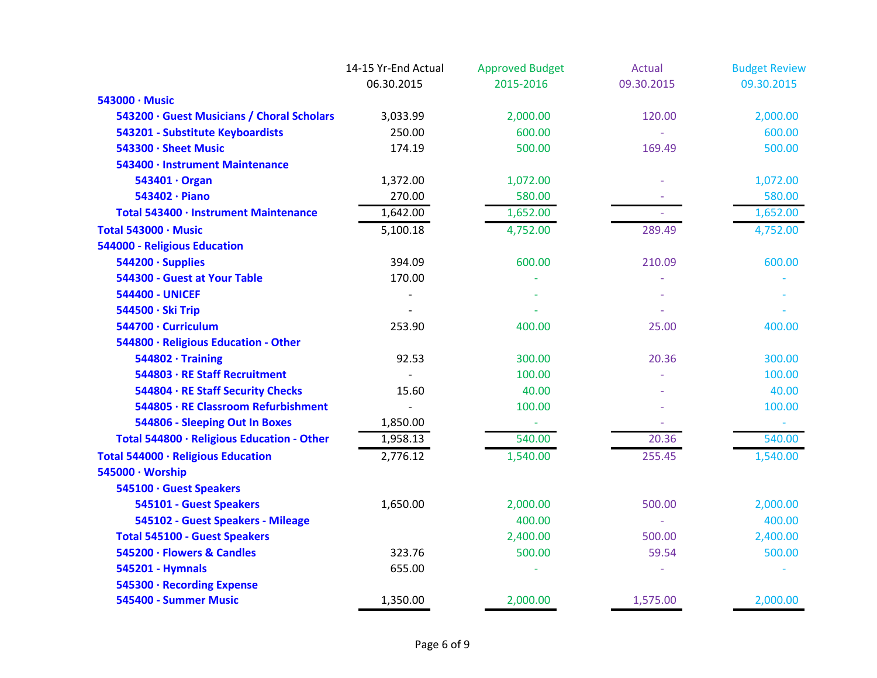|                                            | 14-15 Yr-End Actual | <b>Approved Budget</b> | Actual     | <b>Budget Review</b> |
|--------------------------------------------|---------------------|------------------------|------------|----------------------|
|                                            | 06.30.2015          | 2015-2016              | 09.30.2015 | 09.30.2015           |
| 543000 · Music                             |                     |                        |            |                      |
| 543200 · Guest Musicians / Choral Scholars | 3,033.99            | 2,000.00               | 120.00     | 2,000.00             |
| 543201 - Substitute Keyboardists           | 250.00              | 600.00                 |            | 600.00               |
| 543300 · Sheet Music                       | 174.19              | 500.00                 | 169.49     | 500.00               |
| 543400 · Instrument Maintenance            |                     |                        |            |                      |
| 543401 · Organ                             | 1,372.00            | 1,072.00               |            | 1,072.00             |
| 543402 · Piano                             | 270.00              | 580.00                 |            | 580.00               |
| Total 543400 · Instrument Maintenance      | 1,642.00            | 1,652.00               |            | 1,652.00             |
| Total 543000 · Music                       | 5,100.18            | 4,752.00               | 289.49     | 4,752.00             |
| <b>544000 - Religious Education</b>        |                     |                        |            |                      |
| 544200 · Supplies                          | 394.09              | 600.00                 | 210.09     | 600.00               |
| 544300 - Guest at Your Table               | 170.00              |                        |            |                      |
| <b>544400 - UNICEF</b>                     |                     |                        |            |                      |
| 544500 · Ski Trip                          |                     |                        |            |                      |
| 544700 · Curriculum                        | 253.90              | 400.00                 | 25.00      | 400.00               |
| 544800 · Religious Education - Other       |                     |                        |            |                      |
| $544802 \cdot$ Training                    | 92.53               | 300.00                 | 20.36      | 300.00               |
| 544803 · RE Staff Recruitment              |                     | 100.00                 |            | 100.00               |
| 544804 · RE Staff Security Checks          | 15.60               | 40.00                  |            | 40.00                |
| 544805 · RE Classroom Refurbishment        |                     | 100.00                 |            | 100.00               |
| 544806 - Sleeping Out In Boxes             | 1,850.00            |                        |            |                      |
| Total 544800 · Religious Education - Other | 1,958.13            | 540.00                 | 20.36      | 540.00               |
| Total 544000 · Religious Education         | 2,776.12            | 1,540.00               | 255.45     | 1,540.00             |
| 545000 · Worship                           |                     |                        |            |                      |
| 545100 · Guest Speakers                    |                     |                        |            |                      |
| 545101 - Guest Speakers                    | 1,650.00            | 2,000.00               | 500.00     | 2,000.00             |
| 545102 - Guest Speakers - Mileage          |                     | 400.00                 |            | 400.00               |
| <b>Total 545100 - Guest Speakers</b>       |                     | 2,400.00               | 500.00     | 2,400.00             |
| 545200 · Flowers & Candles                 | 323.76              | 500.00                 | 59.54      | 500.00               |
| 545201 - Hymnals                           | 655.00              |                        |            |                      |
| 545300 · Recording Expense                 |                     |                        |            |                      |
| 545400 - Summer Music                      | 1,350.00            | 2,000.00               | 1,575.00   | 2,000.00             |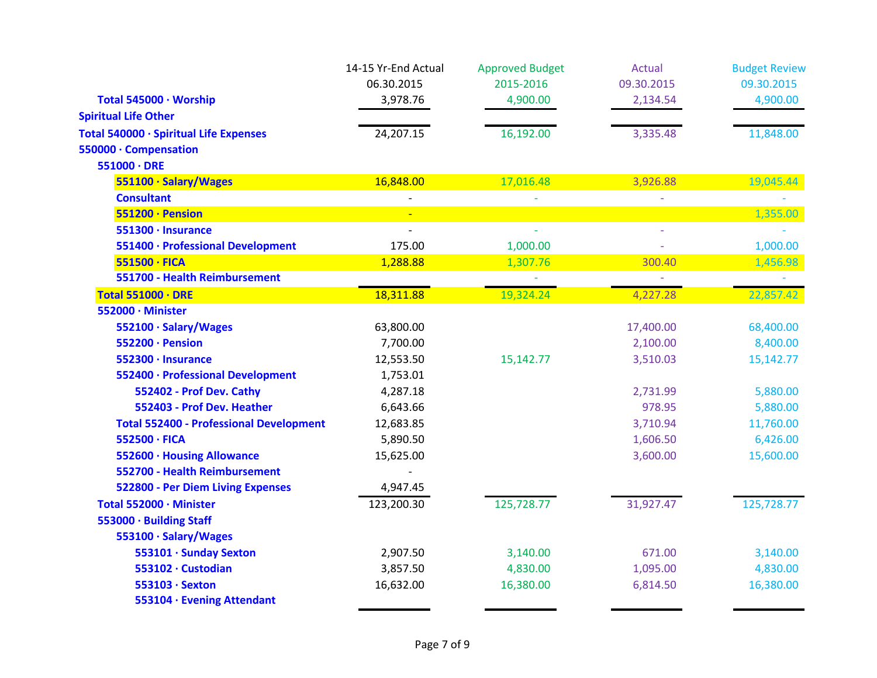|                                                | 14-15 Yr-End Actual | <b>Approved Budget</b> | <b>Actual</b> | <b>Budget Review</b> |
|------------------------------------------------|---------------------|------------------------|---------------|----------------------|
|                                                | 06.30.2015          | 2015-2016              | 09.30.2015    | 09.30.2015           |
| Total 545000 · Worship                         | 3,978.76            | 4,900.00               | 2,134.54      | 4,900.00             |
| <b>Spiritual Life Other</b>                    |                     |                        |               |                      |
| Total 540000 · Spiritual Life Expenses         | 24,207.15           | 16,192.00              | 3,335.48      | 11,848.00            |
| 550000 · Compensation                          |                     |                        |               |                      |
| $551000 \cdot DRE$                             |                     |                        |               |                      |
| 551100 · Salary/Wages                          | 16,848.00           | 17,016.48              | 3,926.88      | 19,045.44            |
| <b>Consultant</b>                              |                     |                        |               |                      |
| 551200 · Pension                               |                     |                        |               | 1,355.00             |
| 551300 · Insurance                             | $\overline{a}$      |                        |               |                      |
| 551400 · Professional Development              | 175.00              | 1,000.00               |               | 1,000.00             |
| 551500 · FICA                                  | 1,288.88            | 1,307.76               | 300.40        | 1,456.98             |
| 551700 - Health Reimbursement                  |                     |                        | u.            |                      |
| <b>Total 551000 · DRE</b>                      | 18,311.88           | 19,324.24              | 4,227.28      | 22,857.42            |
| 552000 · Minister                              |                     |                        |               |                      |
| 552100 · Salary/Wages                          | 63,800.00           |                        | 17,400.00     | 68,400.00            |
| 552200 · Pension                               | 7,700.00            |                        | 2,100.00      | 8,400.00             |
| 552300 · Insurance                             | 12,553.50           | 15,142.77              | 3,510.03      | 15,142.77            |
| 552400 · Professional Development              | 1,753.01            |                        |               |                      |
| 552402 - Prof Dev. Cathy                       | 4,287.18            |                        | 2,731.99      | 5,880.00             |
| 552403 - Prof Dev. Heather                     | 6,643.66            |                        | 978.95        | 5,880.00             |
| <b>Total 552400 - Professional Development</b> | 12,683.85           |                        | 3,710.94      | 11,760.00            |
| 552500 · FICA                                  | 5,890.50            |                        | 1,606.50      | 6,426.00             |
| 552600 · Housing Allowance                     | 15,625.00           |                        | 3,600.00      | 15,600.00            |
| 552700 - Health Reimbursement                  |                     |                        |               |                      |
| <b>522800 - Per Diem Living Expenses</b>       | 4,947.45            |                        |               |                      |
| Total 552000 · Minister                        | 123,200.30          | 125,728.77             | 31,927.47     | 125,728.77           |
| 553000 · Building Staff                        |                     |                        |               |                      |
| 553100 · Salary/Wages                          |                     |                        |               |                      |
| 553101 · Sunday Sexton                         | 2,907.50            | 3,140.00               | 671.00        | 3,140.00             |
| 553102 · Custodian                             | 3,857.50            | 4,830.00               | 1,095.00      | 4,830.00             |
| 553103 · Sexton                                | 16,632.00           | 16,380.00              | 6,814.50      | 16,380.00            |
| 553104 · Evening Attendant                     |                     |                        |               |                      |
|                                                |                     |                        |               |                      |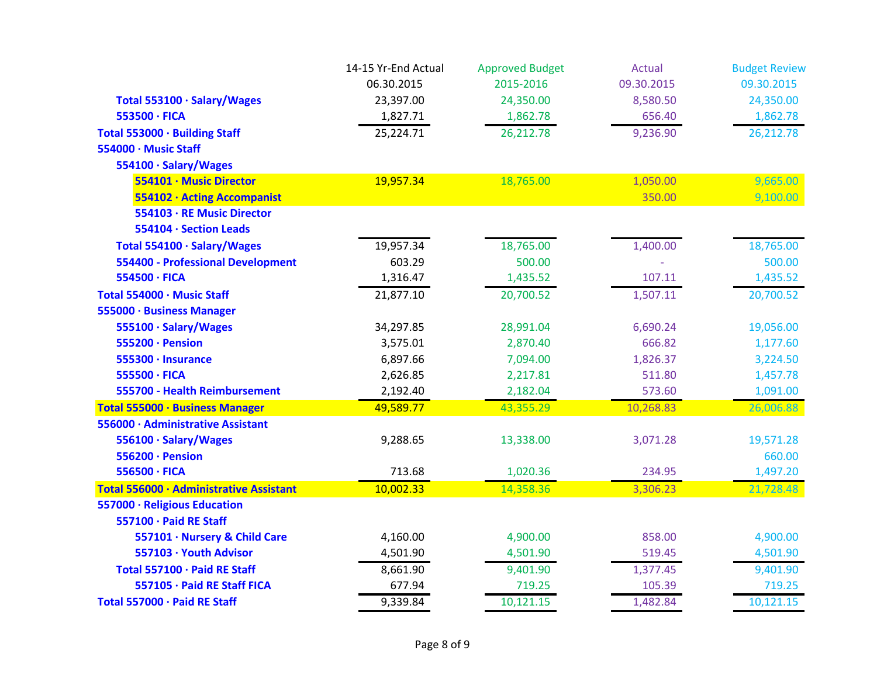|                                          | 14-15 Yr-End Actual | <b>Approved Budget</b> | Actual     | <b>Budget Review</b> |
|------------------------------------------|---------------------|------------------------|------------|----------------------|
|                                          | 06.30.2015          | 2015-2016              | 09.30.2015 | 09.30.2015           |
| Total 553100 · Salary/Wages              | 23,397.00           | 24,350.00              | 8,580.50   | 24,350.00            |
| 553500 · FICA                            | 1,827.71            | 1,862.78               | 656.40     | 1,862.78             |
| Total 553000 · Building Staff            | 25,224.71           | 26,212.78              | 9,236.90   | 26,212.78            |
| 554000 · Music Staff                     |                     |                        |            |                      |
| 554100 · Salary/Wages                    |                     |                        |            |                      |
| 554101 · Music Director                  | 19,957.34           | 18,765.00              | 1,050.00   | 9,665.00             |
| 554102 · Acting Accompanist              |                     |                        | 350.00     | 9,100.00             |
| 554103 · RE Music Director               |                     |                        |            |                      |
| 554104 · Section Leads                   |                     |                        |            |                      |
| Total 554100 · Salary/Wages              | 19,957.34           | 18,765.00              | 1,400.00   | 18,765.00            |
| <b>554400 - Professional Development</b> | 603.29              | 500.00                 |            | 500.00               |
| 554500 · FICA                            | 1,316.47            | 1,435.52               | 107.11     | 1,435.52             |
| Total 554000 · Music Staff               | 21,877.10           | 20,700.52              | 1,507.11   | 20,700.52            |
| 555000 · Business Manager                |                     |                        |            |                      |
| 555100 · Salary/Wages                    | 34,297.85           | 28,991.04              | 6,690.24   | 19,056.00            |
| 555200 · Pension                         | 3,575.01            | 2,870.40               | 666.82     | 1,177.60             |
| 555300 · Insurance                       | 6,897.66            | 7,094.00               | 1,826.37   | 3,224.50             |
| 555500 · FICA                            | 2,626.85            | 2,217.81               | 511.80     | 1,457.78             |
| 555700 - Health Reimbursement            | 2,192.40            | 2,182.04               | 573.60     | 1,091.00             |
| Total 555000 · Business Manager          | 49,589.77           | 43,355.29              | 10,268.83  | 26,006.88            |
| 556000 · Administrative Assistant        |                     |                        |            |                      |
| 556100 · Salary/Wages                    | 9,288.65            | 13,338.00              | 3,071.28   | 19,571.28            |
| 556200 · Pension                         |                     |                        |            | 660.00               |
| 556500 · FICA                            | 713.68              | 1,020.36               | 234.95     | 1,497.20             |
| Total 556000 · Administrative Assistant  | 10,002.33           | 14,358.36              | 3,306.23   | 21,728.48            |
| 557000 · Religious Education             |                     |                        |            |                      |
| 557100 · Paid RE Staff                   |                     |                        |            |                      |
| 557101 · Nursery & Child Care            | 4,160.00            | 4,900.00               | 858.00     | 4,900.00             |
| 557103 · Youth Advisor                   | 4,501.90            | 4,501.90               | 519.45     | 4,501.90             |
| Total 557100 · Paid RE Staff             | 8,661.90            | 9,401.90               | 1,377.45   | 9,401.90             |
| 557105 · Paid RE Staff FICA              | 677.94              | 719.25                 | 105.39     | 719.25               |
| Total 557000 · Paid RE Staff             | 9,339.84            | 10,121.15              | 1,482.84   | 10,121.15            |